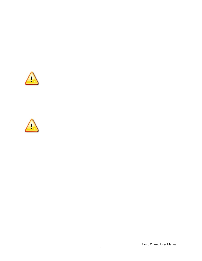

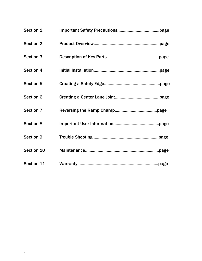| Section 1        |  |
|------------------|--|
| <b>Section 2</b> |  |
| <b>Section 3</b> |  |
| Section 4        |  |
| <b>Section 5</b> |  |
| <b>Section 6</b> |  |
| <b>Section 7</b> |  |
| <b>Section 8</b> |  |
| <b>Section 9</b> |  |
| Section 10       |  |
| Section 11       |  |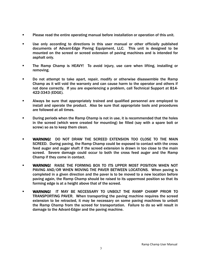- Please read the entire operating manual before installation or operation of this unit.
- Use only according to directions in this user manual or other officially published documents of Advant-Edge Paving Equipment, LLC. This unit is designed to be mounted on the screed or screed extension of paving machines and is intended for asphalt only.
- The Ramp Champ is HEAVY! To avoid injury, use care when lifting, installing or removing.
- Do not attempt to take apart, repair, modify or otherwise disassemble the Ramp Champ as it will void the warranty and can cause harm to the operator and others if not done correctly. If you are experiencing a problem, call Technical Support at 814- 422-3343 (EDGE).
- Always be sure that appropriately trained and qualified personnel are employed to install and operate the product. Also be sure that appropriate tools and procedures are followed at all times.
- During periods when the Ramp Champ is not in use, it is recommended that the holes in the screed (which were created for mounting) be filled (say with a spare bolt or screw) so as to keep them clean.
- WARNING! DO NOT DRAW THE SCREED EXTENSION TOO CLOSE TO THE MAIN SCREED. During paving, the Ramp Champ could be exposed to contact with the cross feed auger and auger shaft if the screed extension is drawn in too close to the main screed. Severe damage could occur to both the cross feed auger and the Ramp Champ if they come in contact.
- WARNING! RAISE THE FORMING BOX TO ITS UPPER MOST POSITION WHEN NOT PAVING AND/OR WHEN MOVING THE PAVER BETWEEN LOCATIONS. When paving is completed in a given direction and the paver is to be moved to a new location before paving again, the Ramp Champ should be raised to its uppermost position so that its forming edge is at a height above that of the screed.
- WARNING! IT MAY BE NECESSARY TO UNBOLT THE RAMP CHAMP PRIOR TO TRANSPORTING PAVER. When transporting the paving machine requires the screed extension to be retracted, it may be necessary on some paving machines to unbolt the Ramp Champ from the screed for transportation. Failure to do so will result in damage to the Advant-Edger and the paving machine.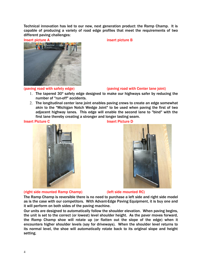Technical innovation has led to our new, next generation product: the Ramp Champ. It is capable of producing a variety of road edge profiles that meet the requirements of two different paving challenges:



Insert picture A insert picture B

## (paving road with safety edge) (paving road with Center lane joint)

- 1. The tapered 30º safety edge designed to make our highways safer by reducing the number of "run-off" accidents.
- 2. The longitudinal center lane joint enables paving crews to create an edge somewhat akin to the "Michigan Notch Wedge Joint" to be used when paving the first of two adjacent highway lanes. This edge will enable the second lane to "bind" with the first lane thereby creating a stronger and longer lasting seam.



## **Insert Picture C Insert Picture D**



## (right side mounted Ramp Champ) (left side mounted RC)

The Ramp Champ is reversible there is no need to purchase a left side and right side model as is the case with our competitors. With Advant-Edge Paving Equipment, it is buy one and it will perform on both sides of the paving machine.

Our units are designed to automatically follow the shoulder elevation. When paving begins, the unit is set to the correct (or lowest) level shoulder height. As the paver moves forward, the Ramp Champ shoe will rotate up (or flatten out the slope of the edge) when it encounters higher shoulder levels (say for driveways). When the shoulder level returns to its normal level, the shoe will automatically rotate back to its original slope and height setting.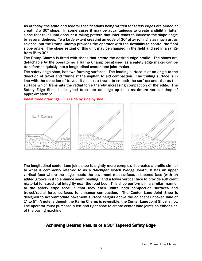As of today, the state and federal specifications being written for safety edges are aimed at creating a 30º slope. In some cases it may be advantageous to create a slightly flatter slope that takes into account a rolling pattern that later tends to increase the slope angle by several degrees. To a large extent creating an edge of 30º after rolling is as much art as science, but the Ramp Champ provides the operator with the flexibility to control the final slope angle. The slope setting of this unit may be changed in the field and set in a range from 5º to 30º.

The Ramp Champ is fitted with shoes that create the desired edge profile. The shoes are detachable by the operator so a Ramp Champ being used as a safety edge maker can be transformed quickly into a longitudinal center lane joint maker.

The safety edge shoe, has two forming surfaces. The leading surface is at an angle to the direction of travel and "funnels" the asphalt to aid compaction. The trailing surface is in line with the direction of travel. It acts as a trowel to smooth the surface and also as the surface which transmits the radial force thereby increasing compaction of the edge. The Safety Edge Shoe is designed to create an edge up to a maximum vertical drop of approximately 5".

#### Insert three drawings E,F, G side by side by side



The longitudinal center lane joint shoe is slightly more complex. It creates a profile similar to what is commonly referred to as a "Michigan Notch Wedge Joint." It has an upper vertical face where the edge meets the pavement mat surface, a tapered face (with an added groove in it to enhance seam binding), and a lower vertical face to provide sufficient material for structural integrity near the road bed. This shoe performs in a similar manner to the safety edge shoe in that they each utilize both compaction surfaces and trowel/radial force surfaces to enhance compaction. The Center Lane Joint Shoe is designed to accommodate pavement surface heights above the adjacent unpaved lane of 1" to 5". A note, although the Ramp Champ is reversible, the Center Lane Joint Shoe is not. The operator must purchase a left and right shoe to create center lane joints on either side of the paving machine.

# Achieving Desired Results of a 30º Tapered Safety Edge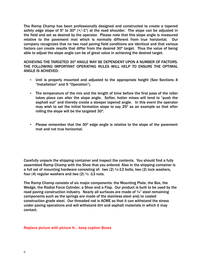The Ramp Champ has been professionally designed and constructed to create a tapered safety edge slope of  $5^{\circ}$  to  $30^{\circ}$  (+/-1°) at the road shoulder. The slope can be adjusted in the field and set as desired by the operator. Please note that this slope angle is measured relative to the pavement mat which is normally different from true horizontal. Our company recognizes that no two road paving field conditions are identical and that various factors can create results that differ from the desired 30º target. Thus the value of being able to adjust the slope angle can be of great value in achieving the desired target.

ACHIEVING THE TARGETED 30º ANGLE MAY BE DEPENDENT UPON A NUMBER OF FACTORS. THE FOLLOWING IMPORTANT OPERATING RULES WILL HELP TO ENSURE THE OPTIMAL ANGLE IS ACHIEVED:

- Unit is properly mounted and adjusted to the appropriate height (See Sections 4 "Installation" and 5 "Operation").
- The temperature of the mix and the length of time before the first pass of the roller takes place can alter the slope angle. Softer, hotter mixes will tend to "push the asphalt out" and thereby create a steeper tapered angle. In this event the operator may wish to set the initial formation slope to say 25º as an example so that after rolling the slope will be the targeted 30º.
- Please remember that the 30º edge angle is relative to the slope of the pavement mat and not true horizontal.

Carefully unpack the shipping container and inspect the contents. You should find a fully assembled Ramp Champ with the Shoe that you ordered. Also in the shipping container is a full set of mounting hardware consisting of: two  $(2)$   $\frac{1}{2}$ -13 bolts, two  $(2)$  lock washers, four (4) regular washers and two (2)  $\frac{1}{2}$ -13 nuts.

The Ramp Champ consists of six major components: the Mounting Plate, the Box, the Wedge, the Radial Force Cylinder, a Shoe and a Flap. Our product is built to be used by the road paving construction industry. Nearly all surfaces are made of  $\frac{1}{4}$ " steel remaining components such as the springs are made of the stainless steel and/or casted construction grade steel. Our threaded rod is ACME so that it can withstand the stress under paving operations and will withstand dirt and asphalt materials in which it may contact.

## Replace picture with picture H… keep caption Boxes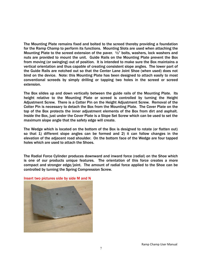The Mounting Plate remains fixed and bolted to the screed thereby providing a foundation for the Ramp Champ to perform its functions. Mounting Slots are used when attaching the Mounting Plate to the screed extension of the paver. ½" bolts, washers, lock washers and nuts are provided to mount the unit. Guide Rails on the Mounting Plate prevent the Box from moving (or swinging) out of position. It is intended to make sure the Box maintains a vertical orientation and thus capable of creating consistent slope angles. The lower part of the Guide Rails are notched out so that the Center Lane Joint Shoe (when used) does not bind on the device. Note: this Mounting Plate has been designed to attach easily to most conventional screeds by simply drilling or tapping two holes in the screed or screed extension.

The Box slides up and down vertically between the guide rails of the Mounting Plate. Its height relative to the Mounting Plate or screed is controlled by turning the Height Adjustment Screw. There is a Cotter Pin on the Height Adjustment Screw. Removal of the Cotter Pin is necessary to detach the Box from the Mounting Plate. The Cover Plate on the top of the Box protects the inner adjustment elements of the Box from dirt and asphalt. Inside the Box, just under the Cover Plate is a Slope Set Screw which can be used to set the maximum slope angle that the safety edge will create.

The Wedge which is located on the bottom of the Box is designed to rotate (or flatten out) so that 1) different slope angles can be formed and 2) it can follow changes in the elevation of the adjacent road shoulder. On the bottom face of the Wedge are four tapped holes which are used to attach the Shoes.

The Radial Force Cylinder produces downward and inward force (radial) on the Shoe which is one of our products unique features. The orientation of this force creates a more compact and stronger edge/joint. The amount of radial force applied to the Shoe can be controlled by turning the Spring Compression Screw.



## Insert two pictures side by side M and N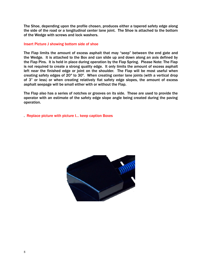The Shoe, depending upon the profile chosen, produces either a tapered safety edge along the side of the road or a longitudinal center lane joint. The Shoe is attached to the bottom of the Wedge with screws and lock washers.

#### Insert Picture J showing bottom side of shoe

The Flap limits the amount of excess asphalt that may "seep" between the end gate and the Wedge. It is attached to the Box and can slide up and down along an axis defined by the Flap Pins. It is held in place during operation by the Flap Spring. Please Note: The Flap is not required to create a strong quality edge. It only limits the amount of excess asphalt left near the finished edge or joint on the shoulder. The Flap will be most useful when creating safety edges of 20º to 30º. When creating center lane joints (with a vertical drop of 3" or less) or when creating relatively flat safety edge slopes, the amount of excess asphalt seepage will be small either with or without the Flap.

The Flap also has a series of notches or grooves on its side. These are used to provide the operator with an estimate of the safety edge slope angle being created during the paving operation.

## . Replace picture with picture I… keep caption Boxes

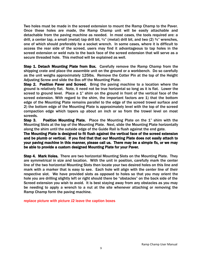Two holes must be made in the screed extension to mount the Ramp Champ to the Paver. Once these holes are made, the Ramp Champ unit will be easily attachable and detachable from the paving machine as needed. In most cases, the tools required are: a drill, a center tap, a small (metal) tap drill bit,  $\frac{1}{2}$ " (metal) drill bit, and two (2)  $\frac{3}{4}$ " wrenches, one of which should preferably be a socket wrench. In some cases, where it is difficult to access the rear side of the screed, users may find it advantageous to tap holes in the screed extension or weld nuts to the back face of the screed extension that will serve as a secure threaded hole. This method will be explained as well.

Step 1. Detach Mounting Plate from Box. Carefully remove the Ramp Champ from the shipping crate and place the assemble unit on the ground or a workbench. Do so carefully as the unit weighs approximately 125lbs. Remove the Cotter Pin at the top of the Height Adjusting Screw and slide the Box off the Mounting Plate.

Step 2. Position Paver and Screed. Bring the paving machine to a location where the ground is relatively flat. Note, it need not be true horizontal so long as it is flat. Lower the screed to ground level. Place a 1" shim on the ground in front of the vertical face of the screed extension. With regard to the shim, the important factors are 1) that the bottom edge of the Mounting Plate remains parallel to the edge of the screed trowel surface and 2) the bottom edge of the Mounting Plate is approximately level with the top of the screed compaction edge which tapers up about an inch or so from the trowel level on most screeds.

Step 3. Position Mounting Plate. Place the Mounting Plate on the 1" shim with the Mounting Slots at the top of the Mounting Plate. Next, slide the Mounting Plate horizontally along the shim until the outside edge of the Guide Rail is flush against the end gate.

The Mounting Plate is designed to fit flush against the vertical face of the screed extension and be plumb or vertical. If you find that that our Mounting Plate does not easily attach to your paving machine in this manner, please call us. There may be a simple fix, or we may be able to provide a custom designed Mounting Plate for your Paver.

Step 4. Mark Holes. There are two horizontal Mounting Slots on the Mounting Plate. They are symmetrical in size and location. With the unit in position, carefully mark the center line of the two horizontal Mounting Slots then locate your two desired holes on this line and mark with a marker that is easy to see. Each hole will align with the center line of their respective slot. We have provided slots as opposed to holes so that you may orient the hole you are drilling slightly left or right should there be "obstacles" on the back side of the Screed extension you wish to avoid. It is best staying away from any obstacles as you may be needing to apply a wrench to a nut at the site whenever attaching or removing the Ramp Champ form the paving machine.

replace picture with picture J2 leave the caption boxes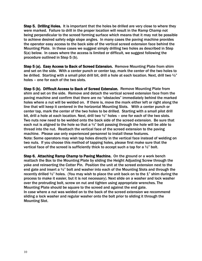Step 5. Drilling Holes. It is important that the holes be drilled are very close to where they were marked. Failure to drill in the proper location will result in the Ramp Champ not being perpendicular to the screed forming surface which means that it may not be possible to achieve desired safety edge slope angles. In many cases the paving machine provides the operator easy access to the back side of the vertical screed extension face behind the Mounting Plate. In these cases we suggest simply drilling two holes as described in Step 5(a) below. In cases where the access is limited or difficult, we suggest following the procedure outlined in Step 5 (b).

Step 5 (a). Easy Access to Back of Screed Extension. Remove Mounting Plate from shim and set on the side. With a center punch or center tap, mark the center of the two holes to be drilled. Starting with a small pilot drill bit, drill a hole at each location. Next, drill two  $\frac{1}{2}$ " holes – one for each of the two slots.

Step 5 (b). Difficult Access to Back of Screed Extension. Remove Mounting Plate from shim and set on the side. Remove and detach the vertical screed extension face from the paving machine and confirm that there are no "obstacles" immediately behind the marked holes where a nut will be welded on. If there is, move the mark either left or right along the line that will keep it centered in the horizontal Mounting Slots. With a center punch or center tap, mark the center of the two holes to be drilled. Starting with a small pilot drill bit, drill a hole at each location. Next, drill two ½" holes – one for each of the two slots. Two nuts now need to be welded onto the back side of the screed extension. Be sure that each nut is aligned to the hole so that a  $\frac{1}{2}$ " bolt passing through the hole will be able to thread into the nut. Reattach the vertical face of the screed extension to the paving machine. Please use only experienced personnel to install these features. Note: Some operators may wish tap holes directly in the vertical face instead of welding on two nuts. If you choose this method of tapping holes, please first make sure that the vertical face of the screed is sufficiently thick to accept such a tap for a  $\frac{1}{2}$ " bolt.

Step 6. Attaching Ramp Champ to Paving Machine. On the ground or a work bench reattach the Box to the Mounting Plate by sliding the Height Adjusting Screw through the yoke and reinserting the Cotter Pin. Position the unit at the screed extension next to the end gate and insert a ½" bolt and washer into each of the Mounting Slots and through the recently drilled  $\frac{1}{2}$ " holes. (You may wish to place the unit back on to the 1" shim during the process to make it easier, but it is not necessary). Next slide on a washer and lock washer over the protruding bolt, screw on nut and tighten using appropriate wrenches. The Mounting Plate should be square to the screed and against the end gate. In case where a nut was welded on to the back of the screed extension we recommend sliding a lock washer and regular washer onto the bolt prior to sliding it through the Mounting Slot.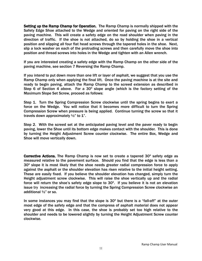Setting up the Ramp Champ for Operation. The Ramp Champ is normally shipped with the Safety Edge Shoe attached to the Wedge and oriented for paving on the right side of the paving machine. This will create a safety edge on the road shoulder when paving in the direction of traffic. If the shoe is not attached, do so by holding the shoe in a vertical position and slipping all four flat head screws through the tapered holes in the shoe. Next, slip a lock washer on each of the protruding screws and then carefully move the shoe into position and thread screws into holes in the Wedge and tighten with an Allen wrench.

If you are interested creating a safety edge with the Ramp Champ on the other side of the paving machine, see section 7 Reversing the Ramp Champ.

If you intend to put down more than one lift or layer of asphalt, we suggest that you use the Ramp Champ only when applying the final lift. Once the paving machine is at the site and ready to begin paving, attach the Ramp Champ to the screed extension as described in Step 6 of Section 4 above. For a 30º slope angle (which is the factory setting of the Maximum Slope Set Screw, proceed as follows:

Step 1. Turn the Spring Compression Screw clockwise until the spring begins to exert a force on the Wedge. You will notice that it becomes more difficult to turn the Spring Compression Screw when pressure is being applied. Continue turning the screw so that it travels down approximately  $\frac{1}{2}$  to 1".

Step 2. With the screed set at the anticipated paving level and the paver ready to begin paving, lower the Shoe until its bottom edge makes contact with the shoulder. This is done by turning the Height Adjustment Screw counter clockwise. The entire Box, Wedge and Shoe will move vertically down.

Corrective Actions. The Ramp Champ is now set to create a tapered 30º safety edge as measured relative to the pavement surface. Should you find that the edge is less than a 30º slope it is most likely that the shoe needs greater radial compression force to apply against the asphalt or the shoulder elevation has risen relative to the initial height setting. These are easily fixed. If you believe the shoulder elevation has changed, simply turn the Height adjustment screw clockwise. This will raise the shoe vertically up and the radial force will return the shoe's safety edge slope to 30º. If you believe it is not an elevation issue try increasing the radial force by turning the Spring Compression Screw clockwise an additional ½" or so.

In some instances you may find that the slope is 30º but there is a "fall-off" at the outer most edge of the safety edge and that the compress of asphalt material does not appear very good at this edge. In this case, the shoe is probably set too high relative to the shoulder and needs to be lowered slightly by turning the Height Adjustment Screw counter clockwise.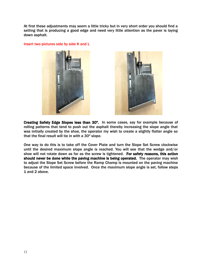At first these adjustments may seem a little tricky but in very short order you should find a setting that is producing a good edge and need very little attention as the paver is laying down asphalt.

Insert two pictures side by side K and L





Creating Safety Edge Slopes less than 30º. In some cases, say for example because of rolling patterns that tend to push out the asphalt thereby increasing the slope angle that was initially created by the shoe, the operator my wish to create a slightly flatter angle so that the final result will tie in with a 30º slope.

One way to do this is to take off the Cover Plate and turn the Slope Set Screw clockwise until the desired maximum slope angle is reached. You will see that the wedge and/or shoe will not rotate down as far as the screw is tightened. For safety reasons, this action should never be done while the paving machine is being operated. The operator may wish to adjust the Slope Set Screw before the Ramp Champ is mounted on the paving machine because of the limited space involved. Once the maximum slope angle is set, follow steps 1 and 2 above.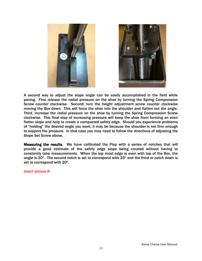



A second way to adjust the slope angle can be easily accomplished in the field while paving. First release the radial pressure on the shoe by turning the Spring Compression Screw counter clockwise. Second, turn the height adjustment screw counter clockwise moving the Box down. This will force the shoe into the shoulder and flatten out the angle. Third, increase the radial pressure on the shoe by turning the Spring Compression Screw clockwise. This final step of increasing pressure will keep the shoe from forming an even flatter slope and help to create a compacted safety edge. Should you experience problems of "holding" the desired angle you want, it may be because the shoulder is not firm enough to support the pressure. In that case you may need to follow the directions of adjusting the Slope Set Screw above.

Measuring the results. We have calibrated the Flap with a series of notches that will provide a good estimate of the safety edge slope being created without having to constantly take measurements. When the top most edge is even with top of the Box, the angle is 30º. The second notch is set to correspond with 25º and the third or notch down is set to correspond with 20º.

Insert picture R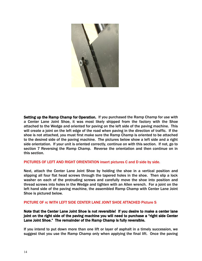

Setting up the Ramp Champ for Operation. If you purchased the Ramp Champ for use with a Center Lane Joint Shoe, it was most likely shipped from the factory with the Shoe attached to the Wedge and oriented for paving on the left side of the paving machine. This will create a joint on the left edge of the road when paving in the direction of traffic. If the shoe is not attached, you must first make sure the Ramp Champ is oriented to be attached to the desired side of the paving machine. The pictures below show a left side and a right side orientation. If your unit is oriented correctly, continue on with this section. If not, go to section 7 Reversing the Ramp Champ. Reverse the orientation and then continue on in this section.

## PICTURES OF LEFT AND RIGHT ORIENTATION insert pictures C and D side by side.

Next, attach the Center Lane Joint Shoe by holding the shoe in a vertical position and slipping all four flat head screws through the tapered holes in the shoe. Then slip a lock washer on each of the protruding screws and carefully move the shoe into position and thread screws into holes in the Wedge and tighten with an Allen wrench. For a joint on the left hand side of the paving machine, the assembled Ramp Champ with Center Lane Joint Shoe is pictured below.

#### PICTURE OF rc WITH LEFT SIDE CENTER LANE JOINT SHOE ATTACHED Picture S

Note that the Center Lane Joint Shoe is not reversible! If you desire to make a center lane joint on the right side of the paving machine you will need to purchase a "right side Center Lane Joint Shoe." The remainder of the Ramp Champ is fully reversible.

If you intend to put down more than one lift or layer of asphalt in a timely succession, we suggest that you use the Ramp Champ only when applying the final lift. Once the paving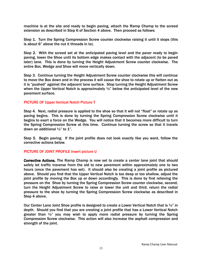machine is at the site and ready to begin paving, attach the Ramp Champ to the screed extension as described in Step 6 of Section 4 above. Then proceed as follows:

Step 1. Turn the Spring Compression Screw counter clockwise raising it until it stops (this is about 6" above the nut it threads in to).

Step 2. With the screed set at the anticipated paving level and the paver ready to begin paving, lower the Shoe until its bottom edge makes contact with the adjacent (to be paved later) lane. This is done by turning the Height Adjustment Screw counter clockwise. The entire Box, Wedge and Shoe will move vertically down.

Step 3. Continue turning the Height Adjustment Screw counter clockwise this will continue to move the Box down and in the process it will cause the shoe to rotate up or flatten out as it is "pushed" against the adjacent lane surface. Stop turning the Height Adjustment Screw when the Upper Vertical Notch is approximately  $\frac{1}{2}$ " below the anticipated level of the new pavement surface.

#### PICTURE OF Upper Vertical Notch Picture T

Step 4. Next, radial pressure is applied to the shoe so that it will not "float" or rotate up as paving begins. This is done by turning the Spring Compression Screw clockwise until it begins to exert a force on the Wedge. You will notice that it becomes more difficult to turn the Spring Compression Screw at this time. Continue turning the screw so that it travels down an additional  $\frac{1}{2}$ " to 1".

Step 5. Begin paving. If the joint profile does not look exactly like you want, follow the corrective actions below.

#### PICTURE OF JOINT PROFILE insert picture U

Corrective Actions. The Ramp Champ is now set to create a center lane joint that should safely let traffic traverse from the old to new pavement within approximately one to two hours (once the pavement has set). It should also be creating a joint profile as pictured above. Should you find that the Upper Vertical Notch is too deep or too shallow, adjust the joint profile by moving the Box up or down accordingly. This is done by first relieving the pressure on the Shoe by turning the Spring Compression Screw counter clockwise, second, turn the Height Adjustment Screw to raise or lower the unit and third, return the radial pressure to the shoe by turning the Spring Compression Screw clockwise as described in Step 4 above.

Our Center Lane Joint Shoe profile is designed to create a Lower Vertical Notch that is  $\frac{1}{2}$ " in depth. Should you find that you are creating a joint profile that has a Lower Vertical Notch greater than ½" you may wish to apply more radial pressure by turning the Spring Compression Screw clockwise. This action will also increase the asphalt compression and strength of the joint.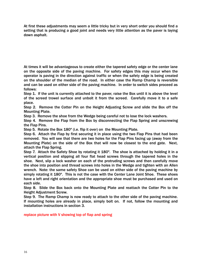At first these adjustments may seem a little tricky but in very short order you should find a setting that is producing a good joint and needs very little attention as the paver is laying down asphalt.

At times it will be advantageous to create either the tapered safety edge or the center lane on the opposite side of the paving machine. For safety edges this may occur when the operator is paving in the direction against traffic or when the safety edge is being created on the shoulder of the median of the road. In either case the Ramp Champ is reversible and can be used on either side of the paving machine. In order to switch sides proceed as follows:

Step 1. If the unit is currently attached to the paver, raise the Box until it is above the level of the screed trowel surface and unbolt it from the screed. Carefully move it to a safe place.

Step 2. Remove the Cotter Pin on the Height Adjusting Screw and slide the Box off the Mounting Plate.

Step 3. Remove the shoe from the Wedge being careful not to lose the lock washers.

Step 4. Remove the Flap from the Box by disconnecting the Flap Spring and unscrewing the Flap Pins.

Step 5. Rotate the Box 180º (i.e. flip it over) on the Mounting Plate.

Step 6. Attach the Flap by first securing it in place using the two Flap Pins that had been removed. You will see that there are two holes for the Flap Pins facing up (away from the Mounting Plate) on the side of the Box that will now be closest to the end gate. Next, attach the Flap Spring.

Step 7. Attach the Safety Shoe by rotating it 180º. The shoe is attached by holding it in a vertical position and slipping all four flat head screws through the tapered holes in the shoe. Next, slip a lock washer on each of the protruding screws and then carefully move the shoe into position and thread screws into holes in the Wedge and tighten with an Allen wrench. Note: the same safety Shoe can be used on either side of the paving machine by simply rotating it 180º. This is not the case with the Center Lane Joint Shoe. These shoes have a left and right orientation and the appropriate shoe must be purchased and used on each side.

Step 8. Slide the Box back onto the Mounting Plate and reattach the Cotter Pin to the Height Adjustment Screw.

Step 9. The Ramp Champ is now ready to attach to the other side of the paving machine. If mounting holes are already in place, simply bolt on. If not, follow the mounting and installation instructions in section 3.

replace picture with V showing top of flap and spring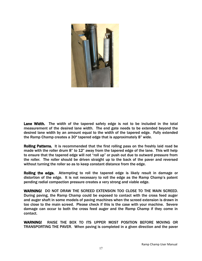

Lane Width. The width of the tapered safety edge is not to be included in the total measurement of the desired lane width. The end gate needs to be extended beyond the desired lane width by an amount equal to the width of the tapered edge. Fully extended the Ramp Champ creates a 30º tapered edge that is approximately 8" wide.

Rolling Patterns. It is recommended that the first rolling pass on the freshly laid road be made with the roller drum 8" to 12" away from the tapered edge of the lane. This will help to ensure that the tapered edge will not "roll up" or push out due to outward pressure from the roller. The roller should be driven straight up to the back of the paver and reversed without turning the roller so as to keep constant distance from the edge.

Rolling the edge. Attempting to roll the tapered edge is likely result in damage or distortion of the edge. It is not necessary to roll the edge as the Ramp Champ's patent pending radial compaction pressure creates a very strong and viable edge.

WARNING! DO NOT DRAW THE SCREED EXTENSION TOO CLOSE TO THE MAIN SCREED. During paving, the Ramp Champ could be exposed to contact with the cross feed auger and auger shaft in some models of paving machines when the screed extension is drawn in too close to the main screed. Please check if this is the case with your machine. Severe damage can occur to both the cross feed auger and the Ramp Champ if they come in contact.

WARNING! RAISE THE BOX TO ITS UPPER MOST POSITION BEFORE MOVING OR TRANSPORTING THE PAVER. When paving is completed in a given direction and the paver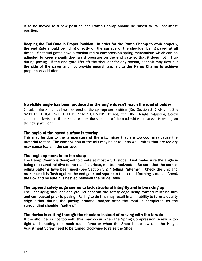is to be moved to a new position, the Ramp Champ should be raised to its uppermost position.

Keeping the End Gate in Proper Position. In order for the Ramp Champ to work properly, the end gate should be riding directly on the surface of the shoulder being paved at all times. Most end gates have a tension rod or compression spring mechanism which can be adjusted to keep enough downward pressure on the end gate so that it does not lift up during paving. If the end gate lifts off the shoulder for any reason, asphalt may flow out the side of the paver and not provide enough asphalt to the Ramp Champ to achieve proper consolidation.

## No visible angle has been produced or the angle doesn't reach the road shoulder

Check if the Shoe has been lowered to the appropriate position (See Section 5. CREATING A SAFETY EDGE WITH THE RAMP CHAMP) If not, turn the Height Adjusting Screw counterclockwise until the Shoe reaches the shoulder of the road while the screed is resting on the new pavement.

## The angle of the paved surface is tearing

This may be due to the temperature of the mix; mixes that are too cool may cause the material to tear. The composition of the mix may be at fault as well; mixes that are too dry may cause tears in the surface.

## The angle appears to be too steep

The Ramp Champ is designed to create at most a 30º slope. First make sure the angle is being measured relative to the road's surface, not true horizontal. Be sure that the correct rolling patterns have been used (See Section 5.2, "Rolling Patterns"). Check the unit and make sure it is flush against the end gate and square to the screed forming surface. Check the Box and be sure it is nestled between the Guide Rails.

## The tapered safety edge seems to lack structural integrity and is breaking up

The underlying shoulder and ground beneath the safety edge being formed must be firm and compacted prior to paving. Failing to do this may result in an inability to form a quality edge either during the paving process, and/or after the road is completed as the surrounding shoulder "settles."

## The devise is cutting through the shoulder instead of moving with the terrain

If the shoulder is not too soft, this may occur when the Spring Compression Screw is too tight and creating too much radial force or when the Shoe is too low and the Height Adjustment Screw need to be turned clockwise to raise the Shoe.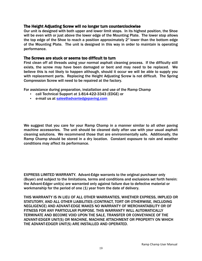## The Height Adjusting Screw will no longer turn counterclockwise

Our unit is designed with both upper and lower limit stops. In its highest position, the Shoe will be even with or just above the lower edge of the Mounting Plate. The lower stop allows the top edge of the Shoe to reach a position approximately 2″ lower than the bottom edge of the Mounting Plate. The unit is designed in this way in order to maintain is operating performance.

## The Screws are stuck or seems too difficult to turn

First clean off all threads using your normal asphalt cleaning process. If the difficulty still exists, the screw may have been damaged or bent and may need to be replaced. We believe this is not likely to happen although, should it occur we will be able to supply you with replacement parts. Replacing the Height Adjusting Screw is not difficult. The Spring Compression Screw will need to be repaired at the factory.

For assistance during preparation, installation and use of the Ramp Champ

- call Technical Support at 1-814-422-3343 (EDGE) or
- e-mail us at [sales@advantedgepaving.com](mailto:sales@advantedgepaving.com)

We suggest that you care for your Ramp Champ in a manner similar to all other paving machine accessories. The unit should be cleaned daily after use with your usual asphalt cleaning solutions. We recommend those that are environmentally safe. Additionally, the Ramp Champ should be stored in a dry location. Constant exposure to rain and weather conditions may affect its performance.

EXPRESS LIMITED WARRANTY. Advant-Edge warrants to the original purchaser only (Buyer) and subject to the limitations, terms and conditions and exclusions set forth herein: the Advant-Edger unit(s) are warranted only against failure due to defective material or workmanship for the period of one (1) year from the date of delivery.

THIS WARRANTY IS IN LIEU OF ALL OTHER WARRANTIES, WHETHER EXPRESS, IMPLIED OR STATUTORY, AND ALL OTHER LIABILITIES (CONTRACT, TORT OR OTHERWISE, INCLUDING NEGLIGENCE) AND ADVANT-EDGE MAKES NO WARRANTY OF MERCHANTABILITY OR OF FITNESS FOR ANY PARTICULAR PURPOSE. THIS WARRANTY WILL AUTOMATICALLY TERMINATE AND BECOME VOID UPON THE SALE, TRANSFER OR CONVEYANCE OF THE ADVANT-EDGER UNIT(S) OR MACHINE, MACHINE ATTACHMENT OR PROPERTY ON WHICH THE ADVANT-EDGER UNIT(S) ARE INSTALLED AND OPERATED.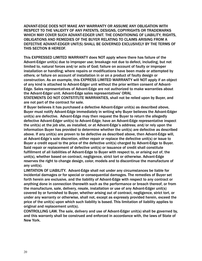ADVANT-EDGE DOES NOT MAKE ANY WARRANTY OR ASSUME ANY OBLIGATION WITH RESPECT TO THE VALIDITY OF ANY PATENTS, DESIGNS, COPYRIGHTS OR TRADEMARKS WHICH MAY COVER SUCH ADVANT-EDGER UNIT. THE CONDITIONING OF LIABILITY, RIGHTS, OBLIGATIONS AND REMEDIES OF THE BUYER RELATING TO CLAIMS ARISING FROM A DEFECTIVE ADVANT-EDGER UNIT(S) SHALL BE GOVERNED EXCLUSIVELY BY THE TERMS OF THIS SECTION 8 HEREOF.

This EXPRESSED LIMITED WARRANTY does NOT apply where there has failure of the Advant-Edger unit(s) due to improper use; breakage not due to defect, including, but not limited to, natural forces and/or acts of God; failure on account of faulty or improper installation or handling; where repairs or modifications have been made or attempted by others; or failure on account of installation in or on a product of faulty design or construction. As an example, this EXPRESS LIMITED WARRANTY will NOT apply if an object of any kind is attached to Advant-Edger unit without the prior written consent of Advant-Edge. Sales representatives of Advant-Edge are not authorized to make warranties about the Advant-Edger unit. Advant-Edge sales representatives' ORAL

STATEMENTS DO NOT CONTSTITUTE WARRANTIES, shall not be relied upon by Buyer, and are not part of the contract for sale.

If Buyer believes it has purchased a defective Advant-Edger unit(s) as described above, Buyer must notify Advant-Edge immediately in writing why Buyer believes the Advant-Edger unit(s) are defective. Advant-Edge may then request the Buyer to return the allegedly defective Advant-Edger unit(s) to Advant-Edge; have an Advant-Edge representative inspect the unit(s) at the job site, as installed, or at Advant-Edge's address; and/or rely upon the information Buyer has provided to determine whether the unit(s) are defective as described above. If any unit(s) are proven to be defective as described above, then Advant-Edge will, at Advant-Edge's sole discretion, either repair or replace the defective unit(s) or issue to Buyer a credit equal to the price of the defective unit(s) charged by Advant-Edge to Buyer. Said repair or replacement of defective unit(s) or issuance of credit shall constitute fulfillment of all liabilities of Advant-Edge to Buyer with respect to, or arising out of, the unit(s), whether based on contract, negligence, strict tort or otherwise. Advant-Edge reserves the right to change design, color, models and to discontinue the manufacture of any unit(s).

LIMITATION OF LIABILITY. Advant-Edge shall not under any circumstances be liable for incidental damages or for special or consequential damages. The remedies of Buyer set forth herein are exclusive, and the liability of Advant-Edge with respect to any contract or anything done in connection therewith such as the performance or breach thereof, or from the manufacture, sale, delivery, resale, installation or use of any Advant-Edger unit(s) covered by or furnished to Buyer, whether arising out of contract, negligence, strict tort, or under any warranty or otherwise, shall not, except as expressly provided herein, exceed the price of the unit(s) upon which such liability is based. This limitation of liability applies to original and replacement unit(s).

CONTROLLING LAW. The sale, delivery and use of Advant-Edger unit(s) shall be governed by, and this warranty shall be construed and enforced in accordance with, the laws of State of New York.